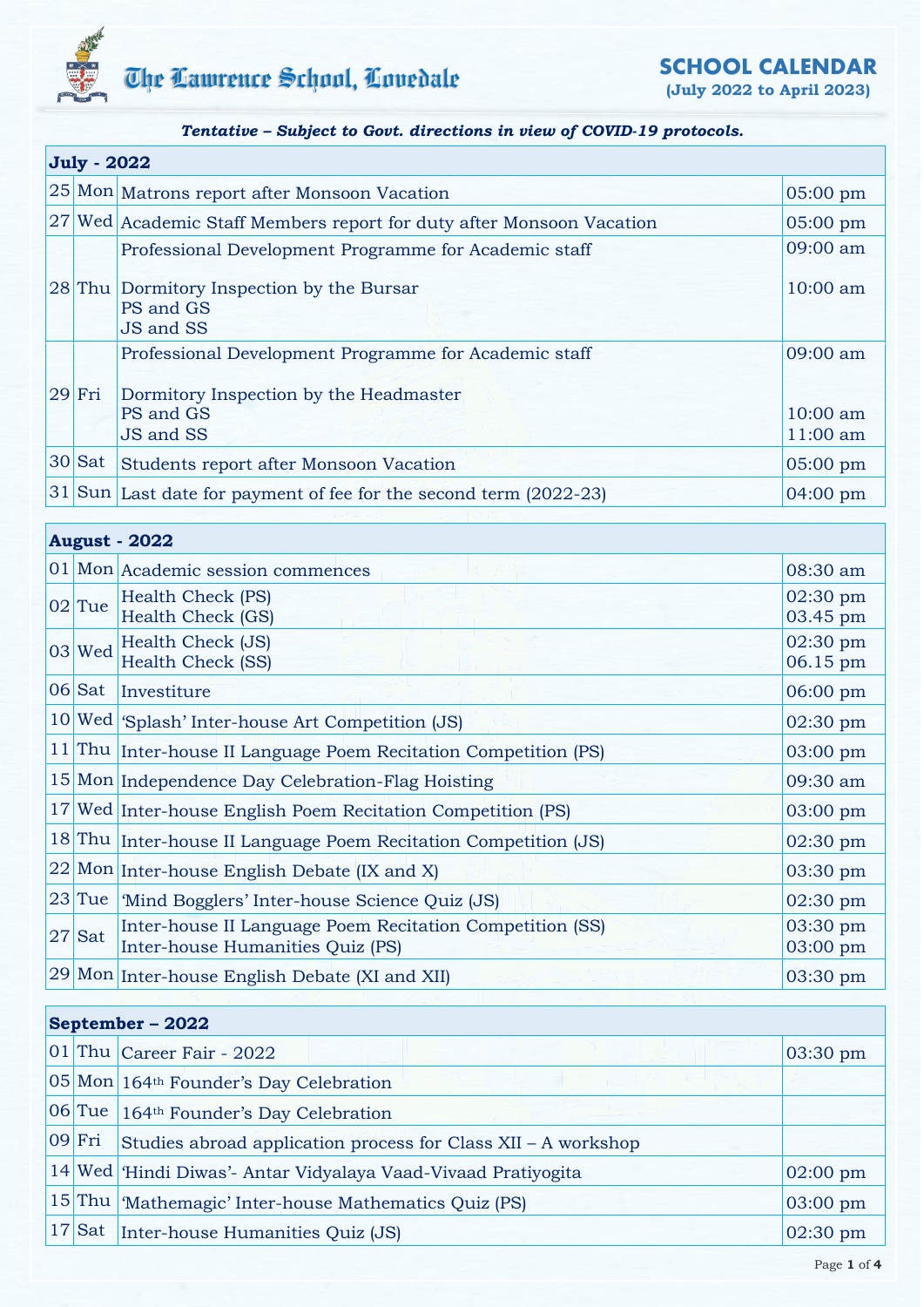

**(July 2022 to April 2023)**

### *Tentative – Subject to Govt. directions in view of COVID-19 protocols.*

| <b>July - 2022</b> |                                                                       |                      |  |  |
|--------------------|-----------------------------------------------------------------------|----------------------|--|--|
|                    | 25 Mon Matrons report after Monsoon Vacation                          | $05:00 \text{ pm}$   |  |  |
|                    | 27 Wed Academic Staff Members report for duty after Monsoon Vacation  | $05:00$ pm           |  |  |
|                    | Professional Development Programme for Academic staff                 | 09:00 am             |  |  |
|                    | 28 Thu Dormitory Inspection by the Bursar<br>PS and GS<br>JS and SS   | $10:00$ am           |  |  |
|                    | Professional Development Programme for Academic staff                 | 09:00 am             |  |  |
| $ 29 $ Fri         | Dormitory Inspection by the Headmaster<br>PS and GS<br>JS and SS      | 10:00 am<br>11:00 am |  |  |
| $ 30 $ Sat         | Students report after Monsoon Vacation                                | $05:00 \text{ pm}$   |  |  |
|                    | $ 31 $ Sun Last date for payment of fee for the second term (2022-23) | $04:00 \text{ pm}$   |  |  |

|          | <b>August - 2022</b>                                                                         |                      |
|----------|----------------------------------------------------------------------------------------------|----------------------|
|          | 01 Mon Academic session commences                                                            | 08:30 am             |
| $02$ Tue | Health Check (PS)<br><b>Health Check (GS)</b>                                                | 02:30 pm<br>03.45 pm |
| $03$ Wed | Health Check (JS)<br><b>Health Check (SS)</b>                                                | 02:30 pm<br>06.15 pm |
| $06$ Sat | Investiture                                                                                  | 06:00 pm             |
|          | 10 Wed Splash' Inter-house Art Competition (JS)                                              | 02:30 pm             |
|          | 11 Thu Inter-house II Language Poem Recitation Competition (PS)                              | $03:00 \text{ pm}$   |
|          | 15 Mon Independence Day Celebration-Flag Hoisting                                            | 09:30 am             |
|          | 17 Wed Inter-house English Poem Recitation Competition (PS)                                  | $03:00$ pm           |
|          | 18 Thu Inter-house II Language Poem Recitation Competition (JS)                              | $02:30$ pm           |
|          | 22 Mon Inter-house English Debate (IX and X)                                                 | 03:30 pm             |
|          | 23 Tue   Mind Bogglers' Inter-house Science Quiz (JS)                                        | $02:30$ pm           |
| $27$ Sat | Inter-house II Language Poem Recitation Competition (SS)<br>Inter-house Humanities Quiz (PS) | 03:30 pm<br>03:00 pm |
|          | 29 Mon Inter-house English Debate (XI and XII)                                               | 03:30 pm             |

## **September – 2022**

|            | $ 01 $ Thu $ $ Career Fair - 2022                             | $ 03:30 \text{ pm} $ |
|------------|---------------------------------------------------------------|----------------------|
|            | 05 Mon 164 <sup>th</sup> Founder's Day Celebration            |                      |
|            | 06 Tue 164 <sup>th</sup> Founder's Day Celebration            |                      |
| $ 09 $ Fri | Studies abroad application process for Class XII - A workshop |                      |
|            | 14 Wed Hindi Diwas'- Antar Vidyalaya Vaad-Vivaad Pratiyogita  | $ 02:00 \text{ pm} $ |
|            | 15 Thu Mathemagic' Inter-house Mathematics Quiz (PS)          | $03:00$ pm           |
|            | 17 Sat Inter-house Humanities Quiz (JS)                       | $02:30 \text{ pm}$   |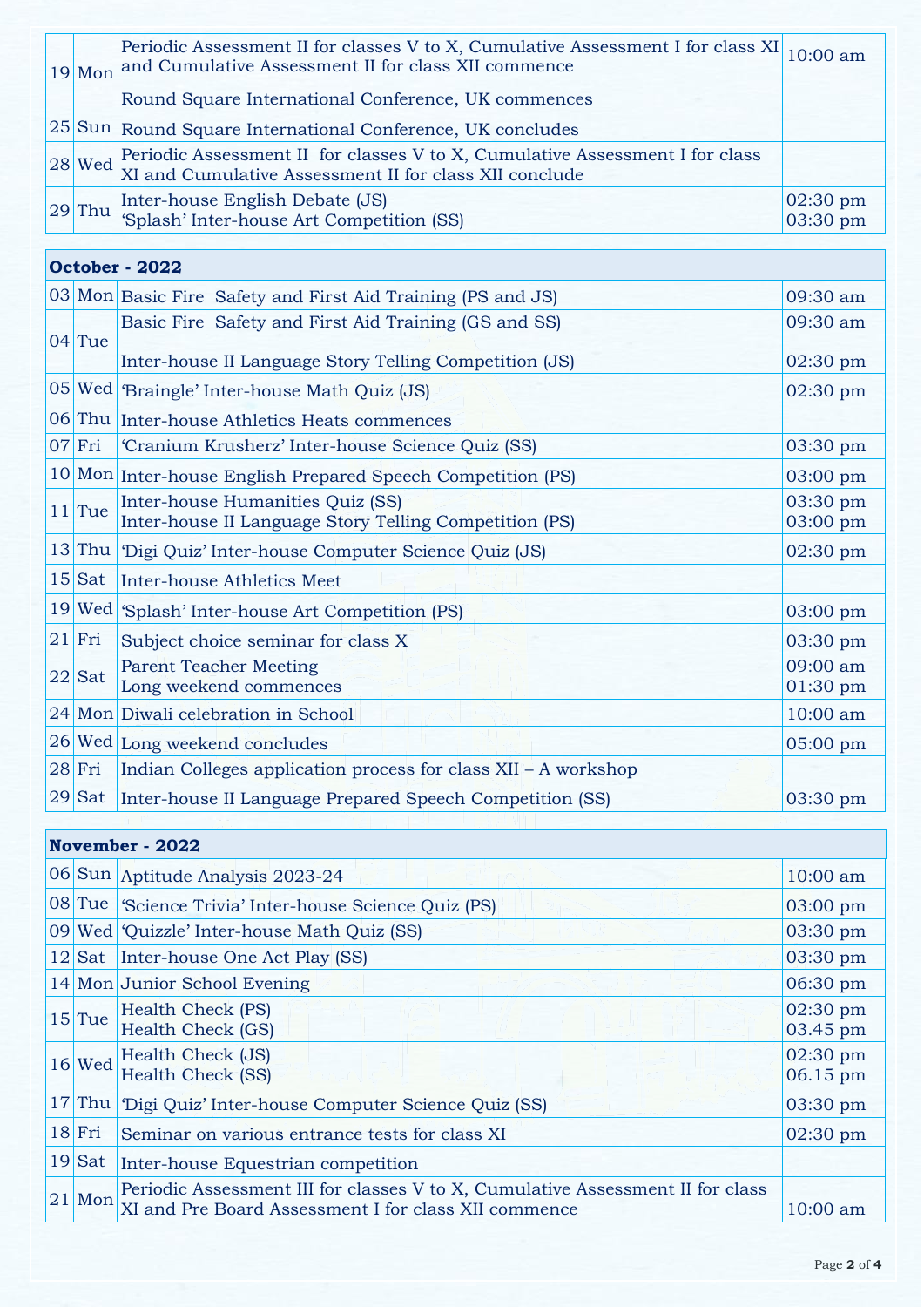|  |            | Periodic Assessment II for classes V to X, Cumulative Assessment I for class XI 10:00 am<br>19 Mon and Cumulative Assessment II for class XII commence |                                |
|--|------------|--------------------------------------------------------------------------------------------------------------------------------------------------------|--------------------------------|
|  |            | Round Square International Conference, UK commences                                                                                                    |                                |
|  |            | 25 Sun Round Square International Conference, UK concludes                                                                                             |                                |
|  |            | $\boxed{28}$ Wed Periodic Assessment II for classes V to X, Cumulative Assessment I for class XII conclude                                             |                                |
|  | $ 29 $ Thu | Inter-house English Debate (JS)<br>'Splash' Inter-house Art Competition (SS)                                                                           | $02:30 \text{ pm}$<br>03:30 pm |

| October - 2022 |                                                                                            |                        |  |  |
|----------------|--------------------------------------------------------------------------------------------|------------------------|--|--|
|                | 03 Mon Basic Fire Safety and First Aid Training (PS and JS)                                | 09:30 am               |  |  |
| $04$ Tue       | Basic Fire Safety and First Aid Training (GS and SS)                                       | 09:30 am               |  |  |
|                | Inter-house II Language Story Telling Competition (JS)                                     | 02:30 pm               |  |  |
|                | 05 Wed Braingle' Inter-house Math Quiz (JS)                                                | 02:30 pm               |  |  |
|                | 06 Thu Inter-house Athletics Heats commences                                               |                        |  |  |
| $07$ Fri       | 'Cranium Krusherz' Inter-house Science Quiz (SS)                                           | 03:30 pm               |  |  |
|                | 10 Mon Inter-house English Prepared Speech Competition (PS)                                | 03:00 pm               |  |  |
| $11$ Tue       | Inter-house Humanities Quiz (SS)<br>Inter-house II Language Story Telling Competition (PS) | 03:30 pm<br>03:00 pm   |  |  |
|                | 13 Thu Digi Quiz' Inter-house Computer Science Quiz (JS)                                   | 02:30 pm               |  |  |
|                | 15 Sat Inter-house Athletics Meet                                                          |                        |  |  |
|                | 19 Wed Splash' Inter-house Art Competition (PS)                                            | 03:00 pm               |  |  |
| $21$ Fri       | Subject choice seminar for class X                                                         | 03:30 pm               |  |  |
| $22$ Sat       | <b>Parent Teacher Meeting</b><br>Long weekend commences                                    | 09:00 am<br>$01:30$ pm |  |  |
|                | 24 Mon Diwali celebration in School                                                        | 10:00 am               |  |  |
|                | 26 Wed Long weekend concludes                                                              | $05:00$ pm             |  |  |
| $28$ Fri       | Indian Colleges application process for class XII – A workshop                             |                        |  |  |
| $29$ Sat       | Inter-house II Language Prepared Speech Competition (SS)                                   | 03:30 pm               |  |  |

#### **November - 2022** 06 Sun Aptitude Analysis 2023-24 10:00 am 08 Tue 'Science Trivia' Inter-house Science Quiz (PS) 03:00 pm 09 Wed 'Quizzle' Inter-house Math Quiz (SS) 03:30 pm 12 Sat Inter-house One Act Play (SS) 03:30 pm 14 Mon Junior School Evening 06:30 pm  $15$  Tue Health Check (PS) Health Check (GS) 02:30 pm 03.45 pm  $16$  Wed Health Check (JS) Health Check (SS) 02:30 pm 06.15 pm 17 Thu 'Digi Quiz' Inter-house Computer Science Quiz (SS) 03:30 pm 18 Fri Seminar on various entrance tests for class XI 02:30 pm 19 Sat Inter-house Equestrian competition  $21$  Mon Periodic Assessment III for classes V to X, Cumulative Assessment II for class  $\begin{array}{|l|l|}\n 21 & \text{Mon }\text{XI} \text{ and Pre Board Assessment I for class XII commence} \\
\end{array} \qquad \qquad \text{10:00 am}$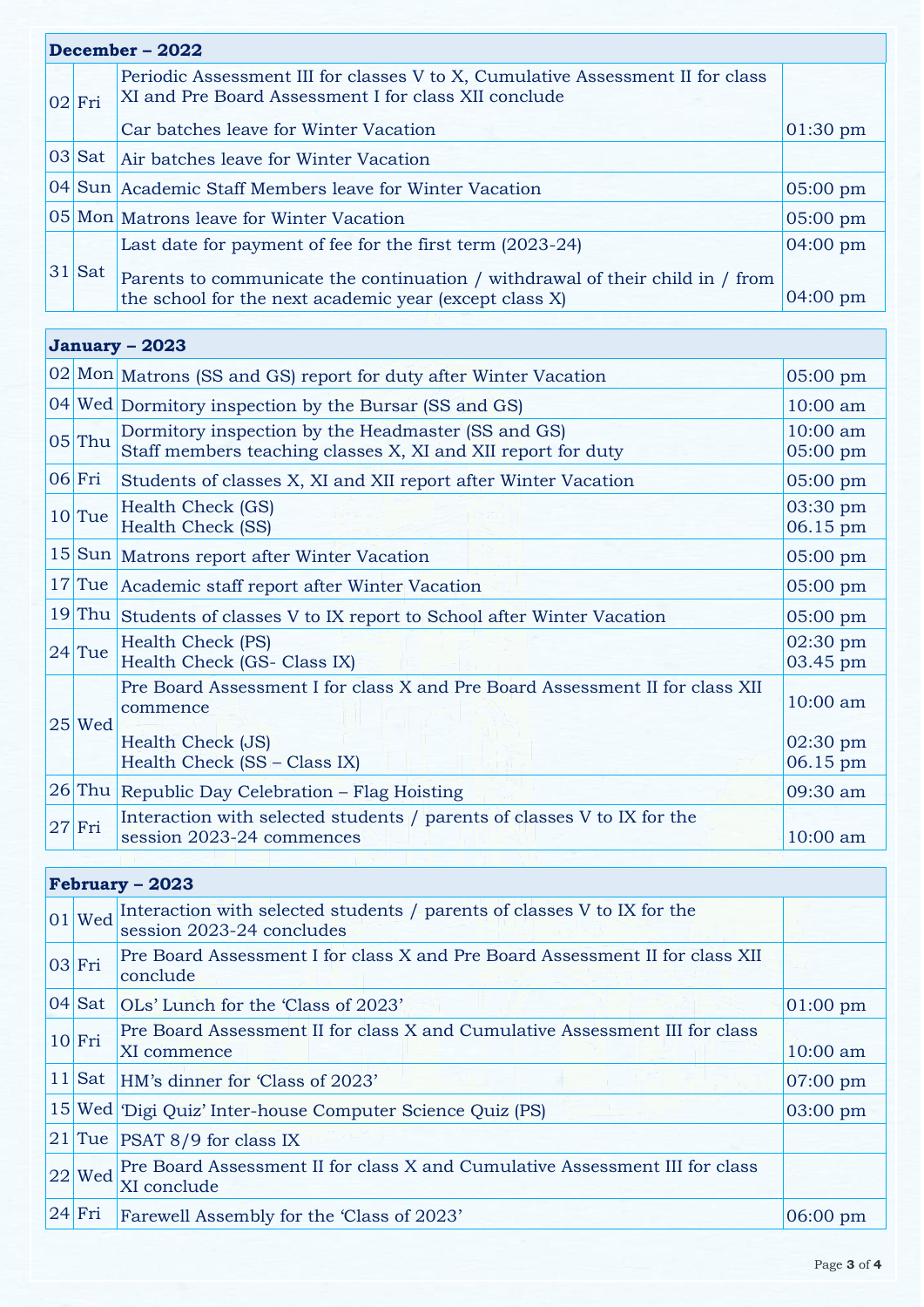| December – 2022 |            |                                                                                                                                         |                    |
|-----------------|------------|-----------------------------------------------------------------------------------------------------------------------------------------|--------------------|
|                 | $ 02 $ Fri | Periodic Assessment III for classes V to X, Cumulative Assessment II for class<br>XI and Pre Board Assessment I for class XII conclude  |                    |
|                 |            | Car batches leave for Winter Vacation                                                                                                   | $01:30 \text{ pm}$ |
|                 |            | 03 Sat Air batches leave for Winter Vacation                                                                                            |                    |
|                 |            | 04 Sun Academic Staff Members leave for Winter Vacation                                                                                 | $05:00 \text{ pm}$ |
|                 |            | 05 Mon Matrons leave for Winter Vacation                                                                                                | $05:00$ pm         |
|                 |            | Last date for payment of fee for the first term (2023-24)                                                                               | $04:00 \text{ pm}$ |
|                 | $ 31 $ Sat | Parents to communicate the continuation / withdrawal of their child in / from<br>the school for the next academic year (except class X) | $04:00 \text{ pm}$ |

# **January – 2023**

|    |            | 02 Mon Matrons (SS and GS) report for duty after Winter Vacation                                                   | $05:00 \text{ pm}$             |
|----|------------|--------------------------------------------------------------------------------------------------------------------|--------------------------------|
|    |            | 04 Wed Dormitory inspection by the Bursar (SS and GS)                                                              | $10:00$ am                     |
|    | $05$ Thu   | Dormitory inspection by the Headmaster (SS and GS)<br>Staff members teaching classes X, XI and XII report for duty | 10:00 am<br>05:00 pm           |
|    | $ 06 $ Fri | Students of classes X, XI and XII report after Winter Vacation                                                     | 05:00 pm                       |
|    | $10$ Tue   | Health Check (GS)<br><b>Health Check (SS)</b>                                                                      | 03:30 pm<br>06.15 pm           |
|    |            | 15 Sun Matrons report after Winter Vacation                                                                        | 05:00 pm                       |
| 17 |            | Tue Academic staff report after Winter Vacation                                                                    | 05:00 pm                       |
|    |            | 19 Thu Students of classes V to IX report to School after Winter Vacation                                          | $05:00$ pm                     |
|    | $24$ Tue   | Health Check (PS)<br>Health Check (GS- Class IX)                                                                   | 02:30 pm<br>03.45 pm           |
|    | $ 25 $ Wed | Pre Board Assessment I for class X and Pre Board Assessment II for class XII<br>commence                           | $10:00$ am                     |
|    |            | Health Check (JS)<br>Health Check (SS - Class IX)                                                                  | $02:30 \text{ pm}$<br>06.15 pm |
|    |            | 26 Thu Republic Day Celebration - Flag Hoisting                                                                    | 09:30 am                       |
|    | $27$ Fri   | Interaction with selected students / parents of classes V to IX for the<br>session 2023-24 commences               | $10:00$ am                     |
|    |            |                                                                                                                    |                                |

## **February – 2023**

| $ 01 $ Wed | Interaction with selected students / parents of classes V to IX for the<br>session 2023-24 concludes |                    |  |  |
|------------|------------------------------------------------------------------------------------------------------|--------------------|--|--|
| $ 03 $ Fri | Pre Board Assessment I for class X and Pre Board Assessment II for class XII<br>conclude             |                    |  |  |
| $ 04 $ Sat | OLs' Lunch for the 'Class of 2023'                                                                   | $01:00 \text{ pm}$ |  |  |
| $10$ Fri   | Pre Board Assessment II for class X and Cumulative Assessment III for class<br>XI commence           | $10:00$ am         |  |  |
| $11$ Sat   | HM's dinner for 'Class of 2023'                                                                      | $07:00 \text{ pm}$ |  |  |
|            | 15 Wed Digi Quiz' Inter-house Computer Science Quiz (PS)                                             | 03:00 pm           |  |  |
|            | $ 21 $ Tue   PSAT 8/9 for class IX                                                                   |                    |  |  |
| $22$ Wed   | Pre Board Assessment II for class X and Cumulative Assessment III for class<br>XI conclude           |                    |  |  |
| $ 24 $ Fri | Farewell Assembly for the 'Class of 2023'                                                            | $06:00 \text{ pm}$ |  |  |